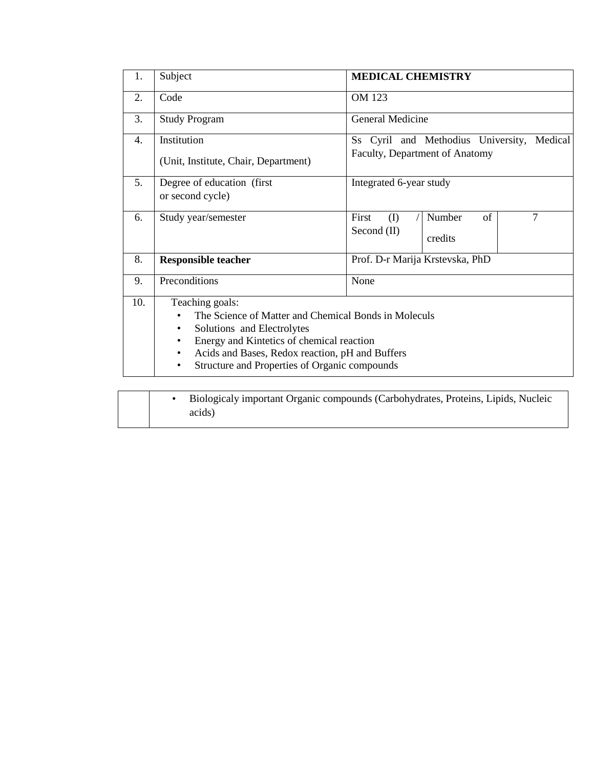| 1.  | Subject                                                                                                                                                                                                                                                                          | <b>MEDICAL CHEMISTRY</b>                                                     |  |  |
|-----|----------------------------------------------------------------------------------------------------------------------------------------------------------------------------------------------------------------------------------------------------------------------------------|------------------------------------------------------------------------------|--|--|
| 2.  | Code                                                                                                                                                                                                                                                                             | <b>OM 123</b>                                                                |  |  |
| 3.  | <b>Study Program</b>                                                                                                                                                                                                                                                             | General Medicine                                                             |  |  |
| 4.  | Institution<br>(Unit, Institute, Chair, Department)                                                                                                                                                                                                                              | Ss Cyril and Methodius University, Medical<br>Faculty, Department of Anatomy |  |  |
| 5.  | Degree of education (first)<br>or second cycle)                                                                                                                                                                                                                                  | Integrated 6-year study                                                      |  |  |
| 6.  | Study year/semester                                                                                                                                                                                                                                                              | $\tau$<br>First<br>(1)<br>Number<br>of<br>Second $(II)$<br>credits           |  |  |
| 8.  | <b>Responsible teacher</b>                                                                                                                                                                                                                                                       | Prof. D-r Marija Krstevska, PhD                                              |  |  |
| 9.  | Preconditions                                                                                                                                                                                                                                                                    | None                                                                         |  |  |
| 10. | Teaching goals:<br>The Science of Matter and Chemical Bonds in Moleculs<br>Solutions and Electrolytes<br>$\bullet$<br>Energy and Kintetics of chemical reaction<br>Acids and Bases, Redox reaction, pH and Buffers<br>$\bullet$<br>Structure and Properties of Organic compounds |                                                                              |  |  |
|     | Biologicaly important Organic compounds (Carbohydrates, Proteins, Lipids, Nucleic<br>$\bullet$<br>acids)                                                                                                                                                                         |                                                                              |  |  |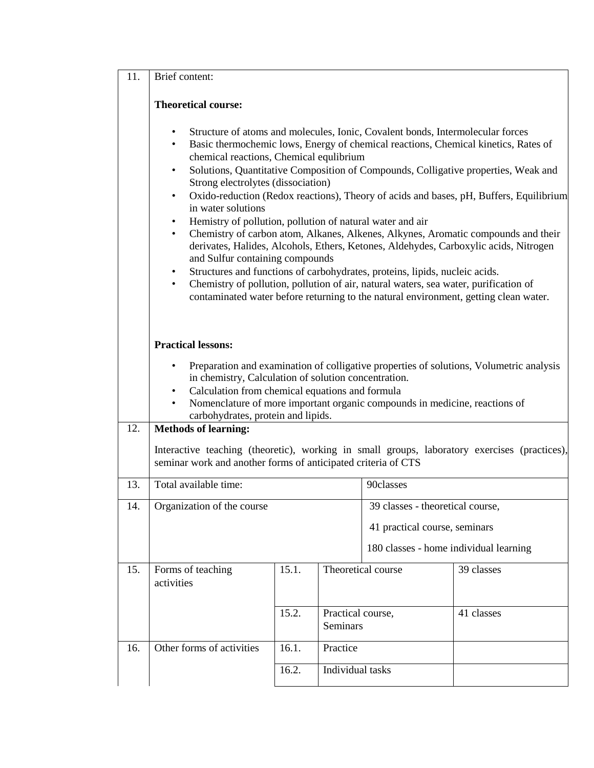## 11. Brief content:

## **Theoretical course:**

- Structure of atoms and molecules, Ionic, Covalent bonds, Intermolecular forces
- Basic thermochemic lows, Energy of chemical reactions, Chemical kinetics, Rates of chemical reactions, Chemical equlibrium
- Solutions, Quantitative Composition of Compounds, Colligative properties, Weak and Strong electrolytes (dissociation)
- Oxido-reduction (Redox reactions), Theory of acids and bases, pH, Buffers, Equilibrium in water solutions
- Hemistry of pollution, pollution of natural water and air
- Chemistry of carbon atom, Alkanes, Alkenes, Alkynes, Aromatic compounds and their derivates, Halides, Alcohols, Ethers, Ketones, Aldehydes, Carboxylic acids, Nitrogen and Sulfur containing compounds
- Structures and functions of carbohydrates, proteins, lipids, nucleic acids.
- Chemistry of pollution, pollution of air, natural waters, sea water, purification of contaminated water before returning to the natural environment, getting clean water.

## **Practical lessons:**

- Preparation and examination of colligative properties of solutions, Volumetric analysis in chemistry, Calculation of solution concentration.
- Calculation from chemical equations and formula
- Nomenclature of more important organic compounds in medicine, reactions of carbohydrates, protein and lipids.

## 12. **Methods of learning:**

Interactive teaching (theoretic), working in small groups, laboratory exercises (practices), seminar work and another forms of anticipated criteria of CTS

| 13. | Total available time:           |       | 90classes                        |                                        |            |
|-----|---------------------------------|-------|----------------------------------|----------------------------------------|------------|
| 14. | Organization of the course      |       | 39 classes - theoretical course, |                                        |            |
|     |                                 |       | 41 practical course, seminars    |                                        |            |
|     |                                 |       |                                  | 180 classes - home individual learning |            |
| 15. | Forms of teaching<br>activities | 15.1. | Theoretical course               |                                        | 39 classes |
|     |                                 | 15.2. | Practical course,<br>Seminars    |                                        | 41 classes |
| 16. | Other forms of activities       | 16.1. | Practice                         |                                        |            |
|     |                                 | 16.2. | Individual tasks                 |                                        |            |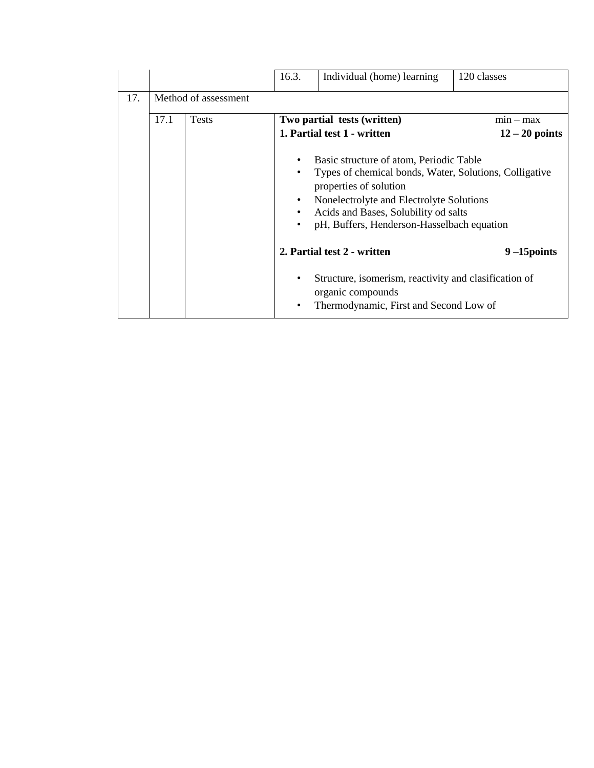|     |                      |              | 16.3.          | Individual (home) learning                                                                                                                                                                                                                                    | 120 classes      |  |  |
|-----|----------------------|--------------|----------------|---------------------------------------------------------------------------------------------------------------------------------------------------------------------------------------------------------------------------------------------------------------|------------------|--|--|
| 17. | Method of assessment |              |                |                                                                                                                                                                                                                                                               |                  |  |  |
|     | 17.1                 | <b>Tests</b> |                | Two partial tests (written)                                                                                                                                                                                                                                   | $min - max$      |  |  |
|     |                      |              |                | 1. Partial test 1 - written                                                                                                                                                                                                                                   | $12 - 20$ points |  |  |
|     |                      |              | ٠<br>$\bullet$ | Basic structure of atom, Periodic Table<br>Types of chemical bonds, Water, Solutions, Colligative<br>properties of solution<br>Nonelectrolyte and Electrolyte Solutions<br>Acids and Bases, Solubility od salts<br>pH, Buffers, Henderson-Hasselbach equation |                  |  |  |
|     |                      |              |                | 2. Partial test 2 - written                                                                                                                                                                                                                                   | $9 - 15$ points  |  |  |
|     |                      |              | ٠              | Structure, isomerism, reactivity and clasification of<br>organic compounds<br>Thermodynamic, First and Second Low of                                                                                                                                          |                  |  |  |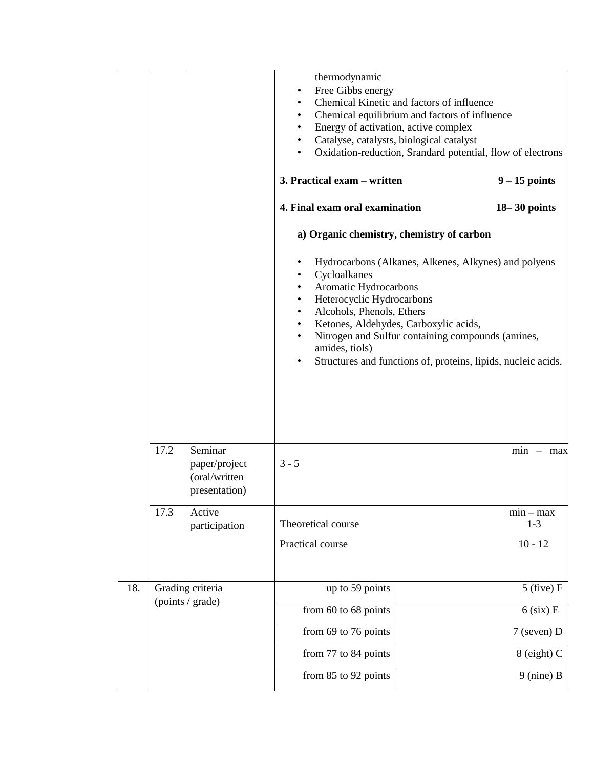|     |                                      |                                                            | thermodynamic<br>Free Gibbs energy<br>Chemical Kinetic and factors of influence<br>Chemical equilibrium and factors of influence<br>Energy of activation, active complex<br>Catalyse, catalysts, biological catalyst<br>٠<br>٠                                                | Oxidation-reduction, Srandard potential, flow of electrons                                                            |
|-----|--------------------------------------|------------------------------------------------------------|-------------------------------------------------------------------------------------------------------------------------------------------------------------------------------------------------------------------------------------------------------------------------------|-----------------------------------------------------------------------------------------------------------------------|
|     |                                      |                                                            | 3. Practical exam - written                                                                                                                                                                                                                                                   | $9 - 15$ points                                                                                                       |
|     |                                      |                                                            | 4. Final exam oral examination                                                                                                                                                                                                                                                | $18 - 30$ points                                                                                                      |
|     |                                      |                                                            | a) Organic chemistry, chemistry of carbon                                                                                                                                                                                                                                     |                                                                                                                       |
|     |                                      |                                                            | Cycloalkanes<br>Aromatic Hydrocarbons<br>٠<br>Heterocyclic Hydrocarbons<br>$\bullet$<br>Alcohols, Phenols, Ethers<br>$\bullet$<br>Ketones, Aldehydes, Carboxylic acids,<br>$\bullet$<br>Nitrogen and Sulfur containing compounds (amines,<br>$\bullet$<br>amides, tiols)<br>٠ | Hydrocarbons (Alkanes, Alkenes, Alkynes) and polyens<br>Structures and functions of, proteins, lipids, nucleic acids. |
|     | 17.2                                 | Seminar<br>paper/project<br>(oral/written<br>presentation) | $3 - 5$                                                                                                                                                                                                                                                                       | $min - max$                                                                                                           |
|     | 17.3                                 | Active<br>participation                                    | Theoretical course                                                                                                                                                                                                                                                            | $min - max$<br>$1 - 3$                                                                                                |
|     |                                      |                                                            | Practical course                                                                                                                                                                                                                                                              | $10 - 12$                                                                                                             |
| 18. | Grading criteria<br>(points / grade) |                                                            | up to 59 points                                                                                                                                                                                                                                                               | $5$ (five) $F$                                                                                                        |
|     |                                      |                                                            | from 60 to 68 points                                                                                                                                                                                                                                                          | $6$ (six) E                                                                                                           |
|     |                                      |                                                            | from 69 to 76 points                                                                                                                                                                                                                                                          | 7 (seven) D                                                                                                           |
|     |                                      |                                                            | from 77 to 84 points                                                                                                                                                                                                                                                          | 8 (eight) C                                                                                                           |
|     |                                      |                                                            | from 85 to 92 points                                                                                                                                                                                                                                                          | $9$ (nine) B                                                                                                          |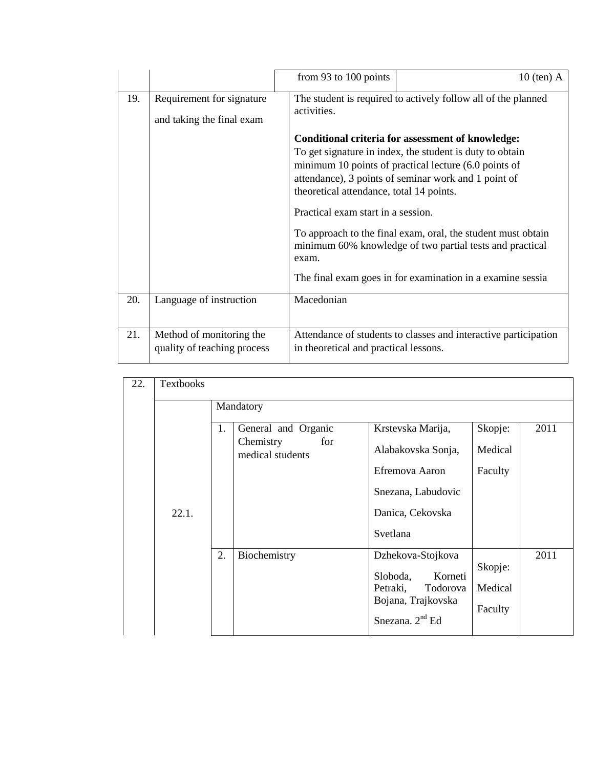|     |                                                         | from 93 to 100 points                                                                                                                                                                                                                                                      | $10$ (ten) A                                                                                                             |
|-----|---------------------------------------------------------|----------------------------------------------------------------------------------------------------------------------------------------------------------------------------------------------------------------------------------------------------------------------------|--------------------------------------------------------------------------------------------------------------------------|
| 19. | Requirement for signature<br>and taking the final exam  | The student is required to actively follow all of the planned<br>activities.                                                                                                                                                                                               |                                                                                                                          |
|     |                                                         | Conditional criteria for assessment of knowledge:<br>To get signature in index, the student is duty to obtain<br>minimum 10 points of practical lecture (6.0 points of<br>attendance), 3 points of seminar work and 1 point of<br>theoretical attendance, total 14 points. |                                                                                                                          |
|     |                                                         | Practical exam start in a session.                                                                                                                                                                                                                                         |                                                                                                                          |
|     |                                                         | exam.                                                                                                                                                                                                                                                                      | To approach to the final exam, oral, the student must obtain<br>minimum 60% knowledge of two partial tests and practical |
|     |                                                         |                                                                                                                                                                                                                                                                            | The final exam goes in for examination in a examine sessia                                                               |
| 20. | Language of instruction                                 | Macedonian                                                                                                                                                                                                                                                                 |                                                                                                                          |
| 21. | Method of monitoring the<br>quality of teaching process | in theoretical and practical lessons.                                                                                                                                                                                                                                      | Attendance of students to classes and interactive participation                                                          |

| 22. | <b>Textbooks</b> |                                      |                                          |         |      |
|-----|------------------|--------------------------------------|------------------------------------------|---------|------|
|     |                  | Mandatory                            |                                          |         |      |
|     |                  | 1.<br>General and Organic            | Krstevska Marija,                        | Skopje: | 2011 |
|     |                  | Chemistry<br>for<br>medical students | Alabakovska Sonja,                       | Medical |      |
|     |                  |                                      | Efremova Aaron                           | Faculty |      |
|     |                  |                                      | Snezana, Labudovic                       |         |      |
|     | 22.1.            |                                      | Danica, Cekovska                         |         |      |
|     |                  |                                      | Svetlana                                 |         |      |
|     |                  | 2.<br>Biochemistry                   | Dzhekova-Stojkova<br>Korneti<br>Sloboda, | Skopje: | 2011 |
|     |                  |                                      | Petraki,<br>Todorova                     | Medical |      |
|     |                  |                                      | Bojana, Trajkovska<br>Snezana. $2nd$ Ed  | Faculty |      |